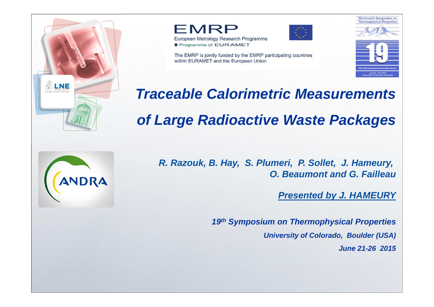





The EMRP is jointly funded by the EMRP participating countries within EURAMET and the European Union



**Traceable Calorimetric Measurementsof Large Radioactive Waste Packages**



**R. Razouk, B. Hay, S. Plumeri, P. Sollet, J. Hameury, O. Beaumont and G. Failleau**

**Presented by J. HAMEURY**

**19th Symposium on Thermophysical PropertiesUniversity of Colorado, Boulder (USA)June 21-26 2015**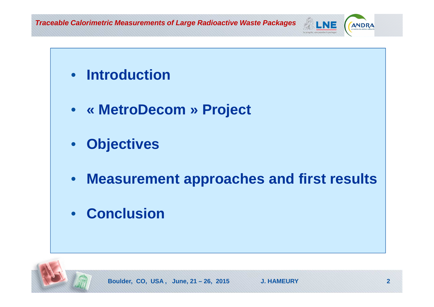**Traceable Calorimetric Measurements of Large Radioactive Waste Packages**





ANDRA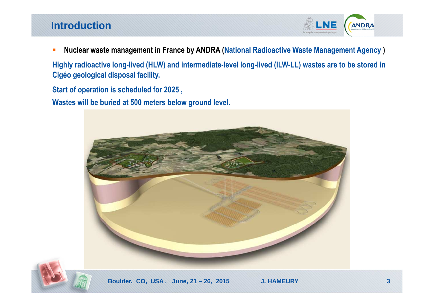#### **Introduction**



 $\overline{\phantom{a}}$ **Nuclear waste management in France by ANDRA (National Radioactive Waste Management Agency )** 

**Highly radioactive long-lived (HLW) and intermediate-level long-lived (ILW-LL) wastes are to be stored in Cigéo geological disposal facility.**

**Start of operation is scheduled for 2025 ,**

**Wastes will be buried at 500 meters below ground level.**

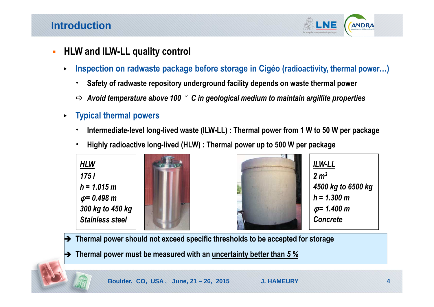

- **HLW and ILW-LL quality control**
	- $\blacktriangleright$  **Inspection on radwaste package before storage in Cigéo (radioactivity, thermal power…)**
		- . **Safety of radwaste repository underground facility depends on waste thermal power**
		- *Avoid temperature above 100*  °*C in geological medium to maintain argillite properties*
	- ▶ **Typical thermal powers**
		- . **Intermediate-level long-lived waste (ILW-LL) : Thermal power from 1 W to 50 W per package**
		- . **Highly radioactive long-lived (HLW) : Thermal power up to 500 W per package**







*ILW-LL2 m34500 kg to 6500 kgh = 1.300 m* φ *= 1.400 mConcrete*

- **Thermal power should not exceed specific thresholds to be accepted for storage**
- **Thermal power must be measured with an uncertainty better than** *5 %*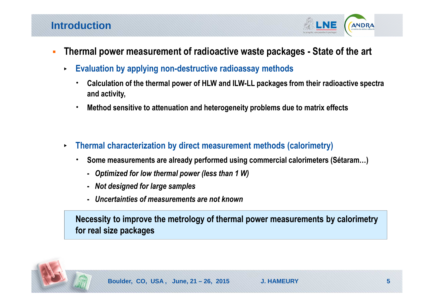**ANDRA** 

- **Thermal power measurement of radioactive waste packages - State of the art** 
	- $\blacktriangleright$  **Evaluation by applying non-destructive radioassay methods**
		- . **Calculation of the thermal power of HLW and ILW-LL packages from their radioactive spectra and activity,**
		- . **Method sensitive to attenuation and heterogeneity problems due to matrix effects**
	- $\blacktriangleright$  **Thermal characterization by direct measurement methods (calorimetry)** 
		- $\bullet$  **Some measurements are already performed using commercial calorimeters (Sétaram…)** 
			- **-** *Optimized for low thermal power (less than 1 W)*
			- **-** *Not designed for large samples*
			- **-** *Uncertainties of measurements are not known*

**Necessity to improve the metrology of thermal power measurements by calorimetryfor real size packages**

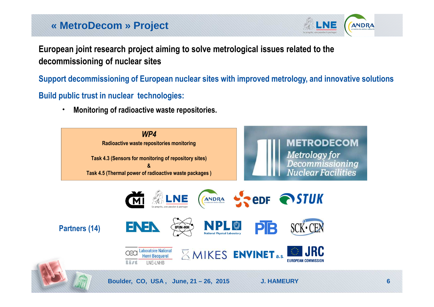# **« MetroDecom » Project**



**European joint research project aiming to solve metrological issues related to the decommissioning of nuclear sites**

**Support decommissioning of European nuclear sites with improved metrology, and innovative solutions**

**Build public trust in nuclear technologies:**

 $\bullet$ **Monitoring of radioactive waste repositories.**

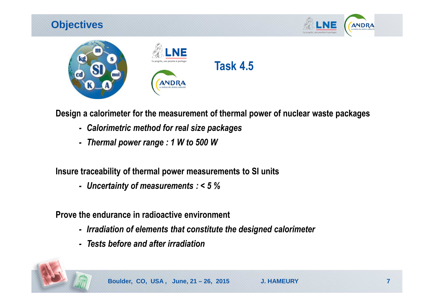### **Objectives**





**Design a calorimeter for the measurement of thermal power of nuclear waste packages**

- *- Calorimetric method for real size packages*
- *- Thermal power range : 1 W to 500 W*

**Insure traceability of thermal power measurements to SI units**

*- Uncertainty of measurements : < 5 %* 

**Prove the endurance in radioactive environment**

- *- Irradiation of elements that constitute the designed calorimeter*
- *- Tests before and after irradiation*

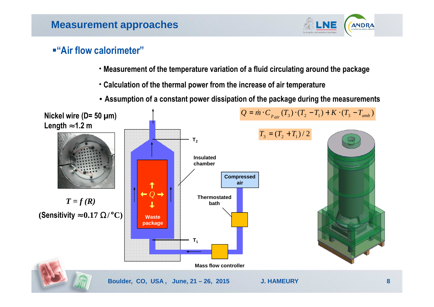

#### **"Air flow calorimeter"**

- **Measurement of the temperature variation of a fluid circulating around the package**
- **Calculation of the thermal power from the increase of air temperature**
- **Assumption of a constant power dissipation of the package during the measurements**

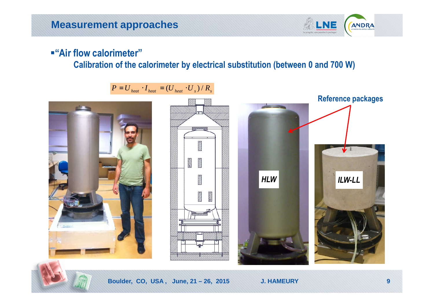

#### **"Air flow calorimeter"**

#### **Calibration of the calorimeter by electrical substitution (between 0 and 700 W)**

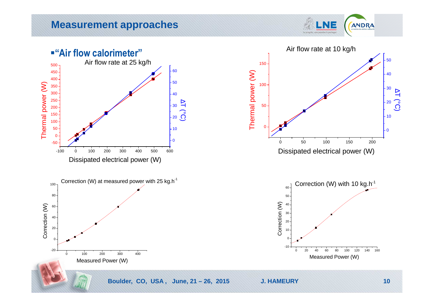LNE ANDRA

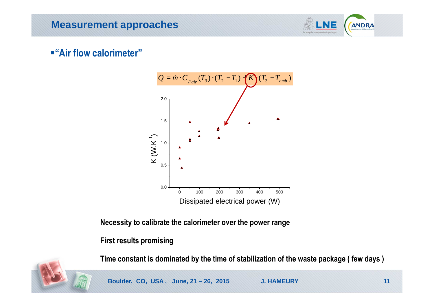

#### **"Air flow calorimeter"**



**Necessity to calibrate the calorimeter over the power range**

#### **First results promising**

**Time constant is dominated by the time of stabilization of the waste package ( few days )**



**Boulder, CO, USA , June, 21 – 26, 2015 J. HAMEURY 11**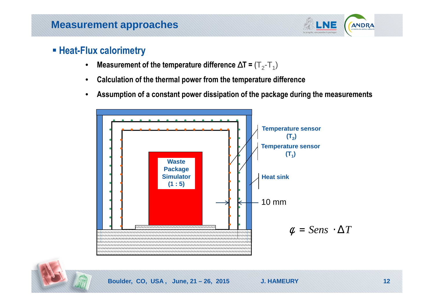

### ■ Heat-Flux calorimetry

- $\bullet$ **Measurement of the temperature difference**∆**T <sup>=</sup> (**<sup>T</sup>2-T1)
- $\bullet$ **Calculation of the thermal power from the temperature difference**
- $\bullet$ **Assumption of a constant power dissipation of the package during the measurements**

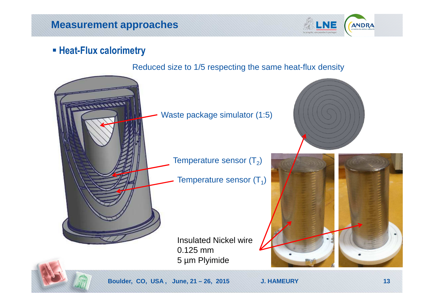

### ■ Heat-Flux calorimetry

Reduced size to 1/5 respecting the same heat-flux density

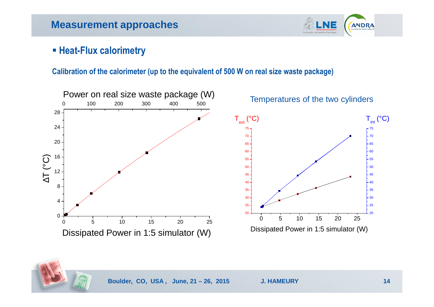

### ■ Heat-Flux calorimetry

#### **Calibration of the calorimeter (up to the equivalent of 500 W on real size waste package)**

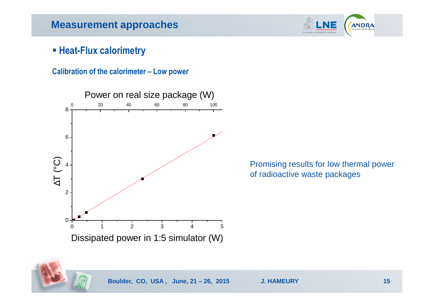

### ■ Heat-Flux calorimetry

**Calibration of the calorimeter – Low power**



Promising results for low thermal power of radioactive waste packages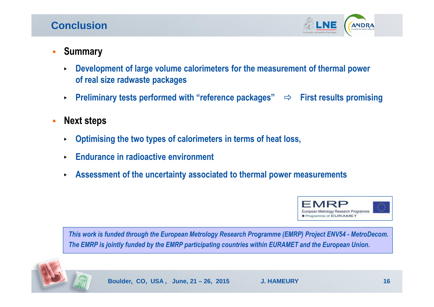### **Conclusion**



- **Summary**
	- $\blacktriangleright$  **Development of large volume calorimeters for the measurement of thermal powerof real size radwaste packages**
	- $\blacktriangleright$ **Example 20 Firms** Preliminary tests performed with "reference packages"  $\Rightarrow$  First results promising
- $\overline{\phantom{a}}$  **Next steps**
	- $\blacktriangleright$ **Optimising the two types of calorimeters in terms of heat loss,**
	- **Endurance in radioactive environment**
	- **Assessment of the uncertainty associated to thermal power measurements**



*This work is funded through the European Metrology Research Programme (EMRP) Project ENV54 - MetroDecom. The EMRP is jointly funded by the EMRP participating countries within EURAMET and the European Union.*